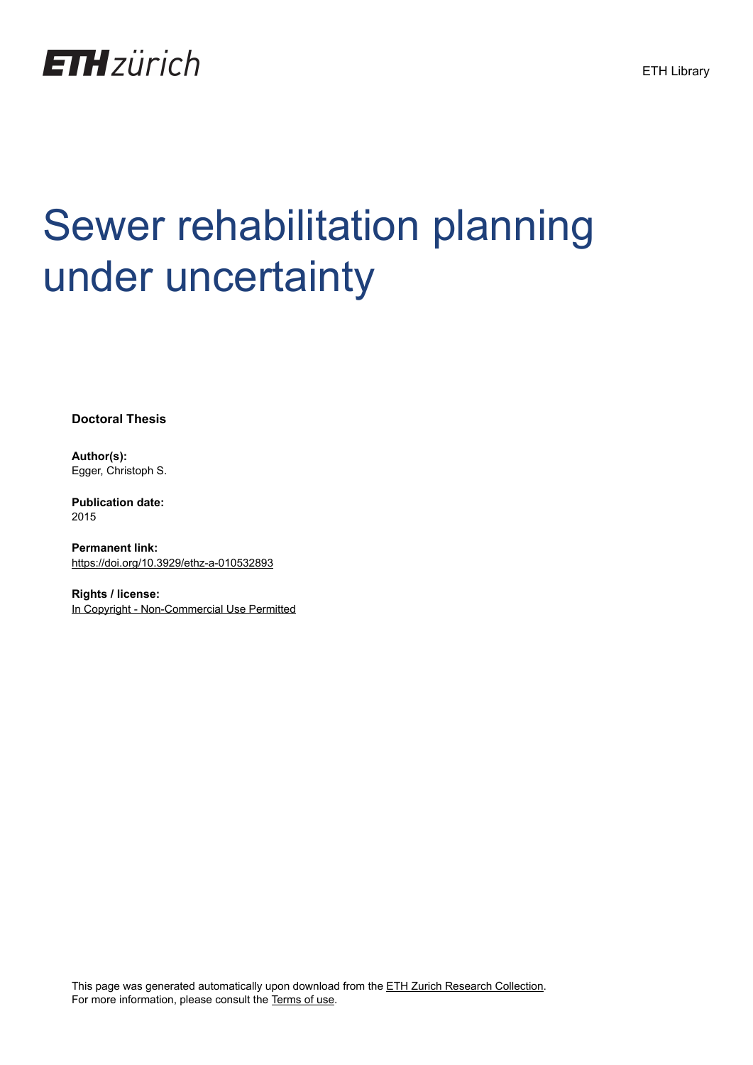

# Sewer rehabilitation planning under uncertainty

**Doctoral Thesis**

**Author(s):** Egger, Christoph S.

**Publication date:** 2015

**Permanent link:** <https://doi.org/10.3929/ethz-a-010532893>

**Rights / license:** [In Copyright - Non-Commercial Use Permitted](http://rightsstatements.org/page/InC-NC/1.0/)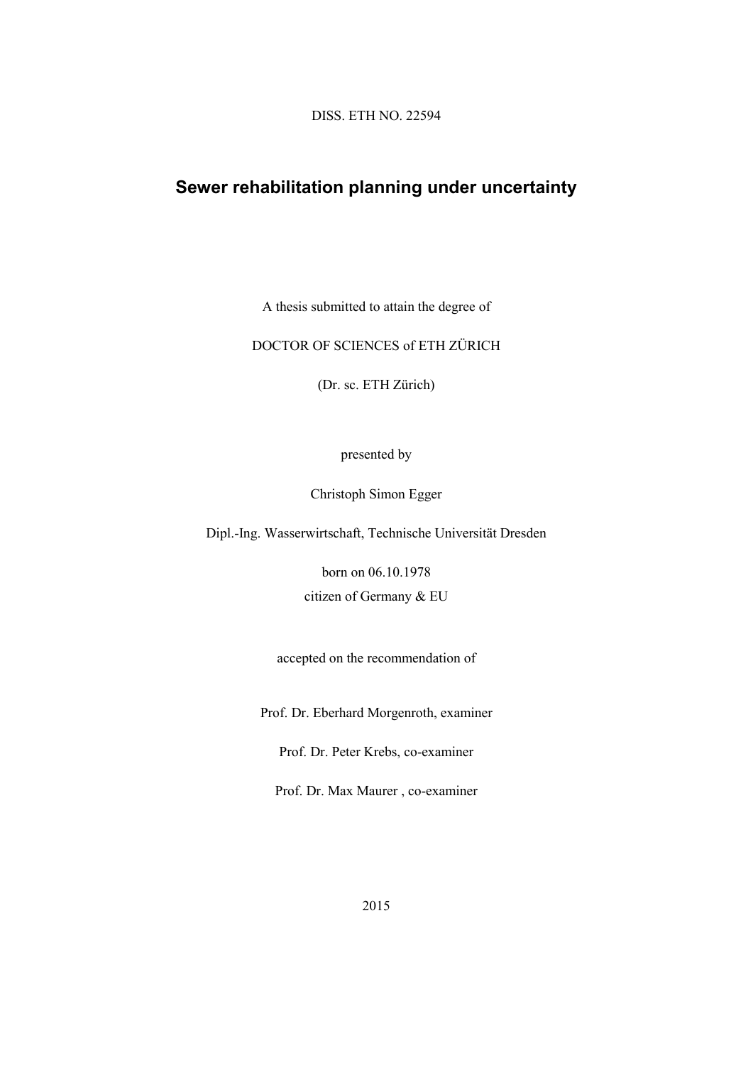DISS. ETH NO. 22594

## **Sewer rehabilitation planning under uncertainty**

A thesis submitted to attain the degree of

#### DOCTOR OF SCIENCES of ETH ZÜRICH

(Dr. sc. ETH Zürich)

#### presented by

Christoph Simon Egger

Dipl.-Ing. Wasserwirtschaft, Technische Universität Dresden

born on 06.10.1978

citizen of Germany & EU

accepted on the recommendation of

Prof. Dr. Eberhard Morgenroth, examiner

Prof. Dr. Peter Krebs, co-examiner

Prof. Dr. Max Maurer , co-examiner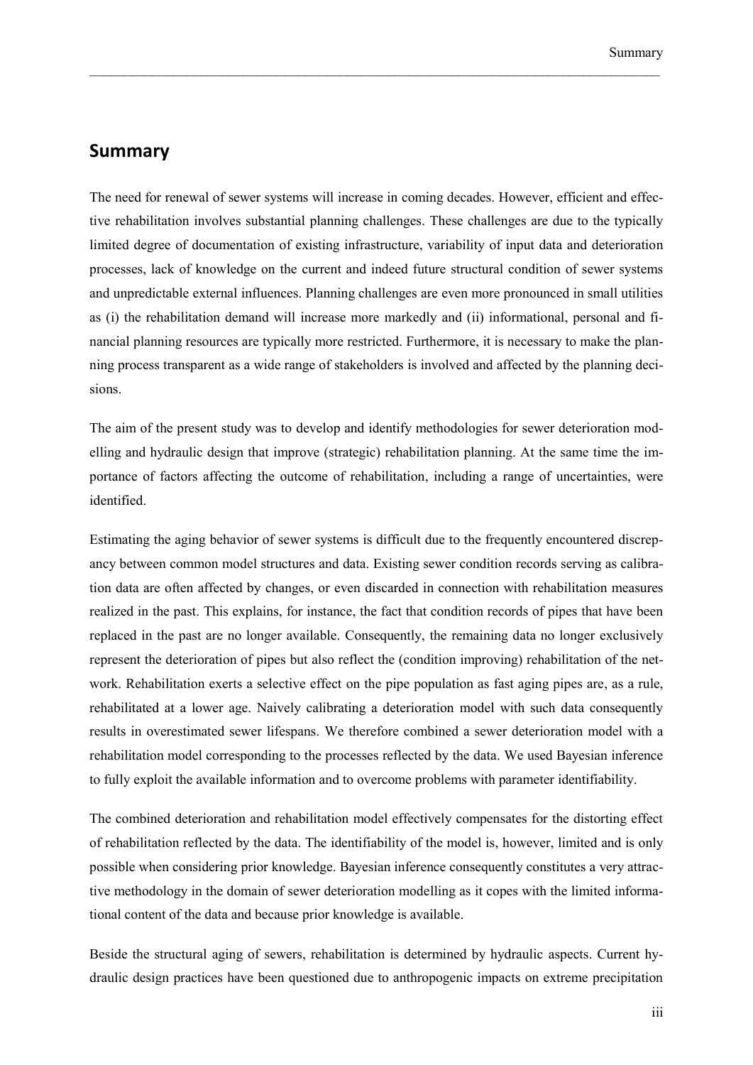### **Summary**

The need for renewal of sewer systems will increase in coming decades. However, efficient and effective rehabilitation involves substantial planning challenges. These challenges are due to the typically limited degree of documentation of existing infrastructure, variability of input data and deterioration processes, lack of knowledge on the current and indeed future structural condition of sewer systems and unpredictable external influences. Planning challenges are even more pronounced in small utilities as (i) the rehabilitation demand will increase more markedly and (ii) informational, personal and financial planning resources are typically more restricted. Furthermore, it is necessary to make the planning process transparent as a wide range of stakeholders is involved and affected by the planning decisions.

 $\_$  , and the contribution of the contribution of the contribution of the contribution of  $\mathcal{L}_\text{max}$ 

The aim of the present study was to develop and identify methodologies for sewer deterioration modelling and hydraulic design that improve (strategic) rehabilitation planning. At the same time the importance of factors affecting the outcome of rehabilitation, including a range of uncertainties, were identified.

Estimating the aging behavior of sewer systems is difficult due to the frequently encountered discrepancy between common model structures and data. Existing sewer condition records serving as calibration data are often affected by changes, or even discarded in connection with rehabilitation measures realized in the past. This explains, for instance, the fact that condition records of pipes that have been replaced in the past are no longer available. Consequently, the remaining data no longer exclusively represent the deterioration of pipes but also reflect the (condition improving) rehabilitation of the network. Rehabilitation exerts a selective effect on the pipe population as fast aging pipes are, as a rule, rehabilitated at a lower age. Naively calibrating a deterioration model with such data consequently results in overestimated sewer lifespans. We therefore combined a sewer deterioration model with a rehabilitation model corresponding to the processes reflected by the data. We used Bayesian inference to fully exploit the available information and to overcome problems with parameter identifiability.

The combined deterioration and rehabilitation model effectively compensates for the distorting effect of rehabilitation reflected by the data. The identifiability of the model is, however, limited and is only possible when considering prior knowledge. Bayesian inference consequently constitutes a very attractive methodology in the domain of sewer deterioration modelling as it copes with the limited informational content of the data and because prior knowledge is available.

Beside the structural aging of sewers, rehabilitation is determined by hydraulic aspects. Current hydraulic design practices have been questioned due to anthropogenic impacts on extreme precipitation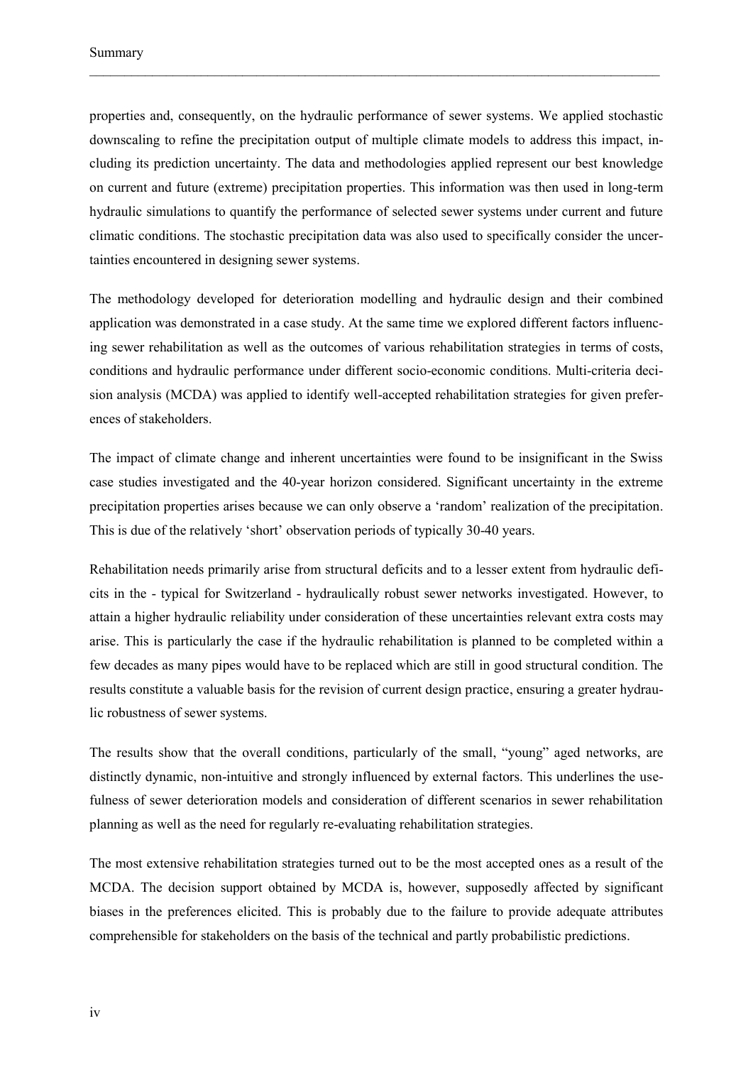properties and, consequently, on the hydraulic performance of sewer systems. We applied stochastic downscaling to refine the precipitation output of multiple climate models to address this impact, including its prediction uncertainty. The data and methodologies applied represent our best knowledge on current and future (extreme) precipitation properties. This information was then used in long-term hydraulic simulations to quantify the performance of selected sewer systems under current and future climatic conditions. The stochastic precipitation data was also used to specifically consider the uncertainties encountered in designing sewer systems.

 $\_$  , and the contribution of the contribution of the contribution of the contribution of  $\mathcal{L}_\text{max}$ 

The methodology developed for deterioration modelling and hydraulic design and their combined application was demonstrated in a case study. At the same time we explored different factors influencing sewer rehabilitation as well as the outcomes of various rehabilitation strategies in terms of costs, conditions and hydraulic performance under different socio-economic conditions. Multi-criteria decision analysis (MCDA) was applied to identify well-accepted rehabilitation strategies for given preferences of stakeholders.

The impact of climate change and inherent uncertainties were found to be insignificant in the Swiss case studies investigated and the 40-year horizon considered. Significant uncertainty in the extreme precipitation properties arises because we can only observe a 'random' realization of the precipitation. This is due of the relatively 'short' observation periods of typically 30-40 years.

Rehabilitation needs primarily arise from structural deficits and to a lesser extent from hydraulic deficits in the - typical for Switzerland - hydraulically robust sewer networks investigated. However, to attain a higher hydraulic reliability under consideration of these uncertainties relevant extra costs may arise. This is particularly the case if the hydraulic rehabilitation is planned to be completed within a few decades as many pipes would have to be replaced which are still in good structural condition. The results constitute a valuable basis for the revision of current design practice, ensuring a greater hydraulic robustness of sewer systems.

The results show that the overall conditions, particularly of the small, "young" aged networks, are distinctly dynamic, non-intuitive and strongly influenced by external factors. This underlines the usefulness of sewer deterioration models and consideration of different scenarios in sewer rehabilitation planning as well as the need for regularly re-evaluating rehabilitation strategies.

The most extensive rehabilitation strategies turned out to be the most accepted ones as a result of the MCDA. The decision support obtained by MCDA is, however, supposedly affected by significant biases in the preferences elicited. This is probably due to the failure to provide adequate attributes comprehensible for stakeholders on the basis of the technical and partly probabilistic predictions.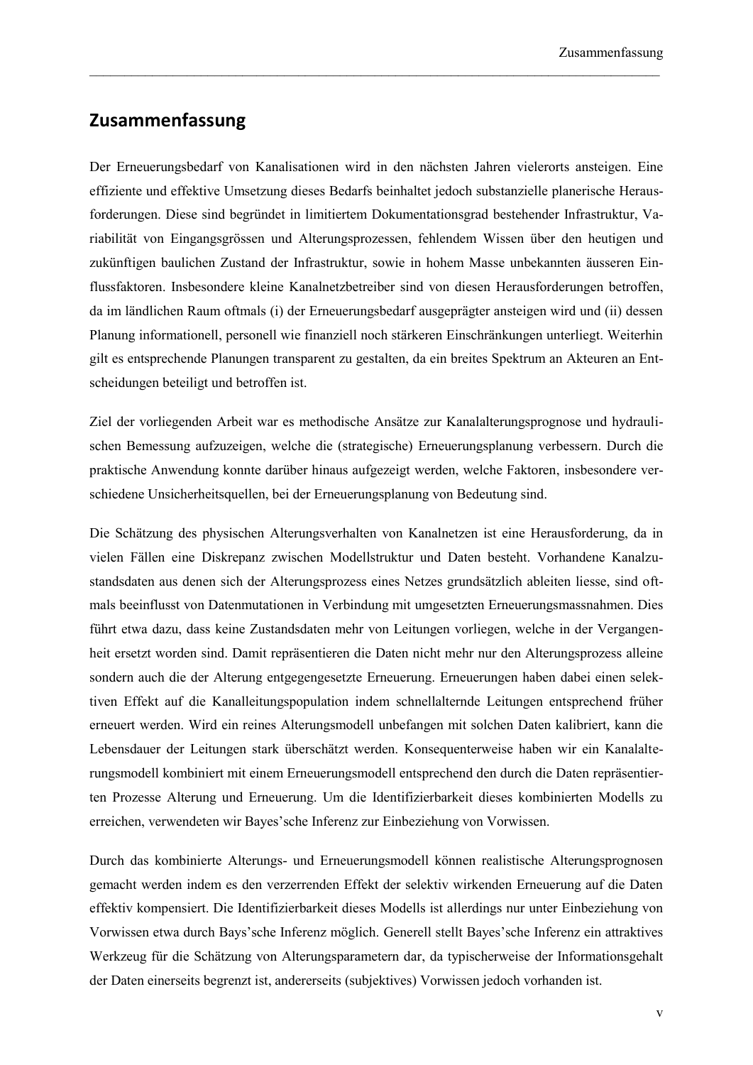## **Zusammenfassung**

Der Erneuerungsbedarf von Kanalisationen wird in den nächsten Jahren vielerorts ansteigen. Eine effiziente und effektive Umsetzung dieses Bedarfs beinhaltet jedoch substanzielle planerische Herausforderungen. Diese sind begründet in limitiertem Dokumentationsgrad bestehender Infrastruktur, Variabilität von Eingangsgrössen und Alterungsprozessen, fehlendem Wissen über den heutigen und zukünftigen baulichen Zustand der Infrastruktur, sowie in hohem Masse unbekannten äusseren Einflussfaktoren. Insbesondere kleine Kanalnetzbetreiber sind von diesen Herausforderungen betroffen, da im ländlichen Raum oftmals (i) der Erneuerungsbedarf ausgeprägter ansteigen wird und (ii) dessen Planung informationell, personell wie finanziell noch stärkeren Einschränkungen unterliegt. Weiterhin gilt es entsprechende Planungen transparent zu gestalten, da ein breites Spektrum an Akteuren an Entscheidungen beteiligt und betroffen ist.

 $\_$  , and the contribution of the contribution of the contribution of the contribution of  $\mathcal{L}_\text{max}$ 

Ziel der vorliegenden Arbeit war es methodische Ansätze zur Kanalalterungsprognose und hydraulischen Bemessung aufzuzeigen, welche die (strategische) Erneuerungsplanung verbessern. Durch die praktische Anwendung konnte darüber hinaus aufgezeigt werden, welche Faktoren, insbesondere verschiedene Unsicherheitsquellen, bei der Erneuerungsplanung von Bedeutung sind.

Die Schätzung des physischen Alterungsverhalten von Kanalnetzen ist eine Herausforderung, da in vielen Fällen eine Diskrepanz zwischen Modellstruktur und Daten besteht. Vorhandene Kanalzustandsdaten aus denen sich der Alterungsprozess eines Netzes grundsätzlich ableiten liesse, sind oftmals beeinflusst von Datenmutationen in Verbindung mit umgesetzten Erneuerungsmassnahmen. Dies führt etwa dazu, dass keine Zustandsdaten mehr von Leitungen vorliegen, welche in der Vergangenheit ersetzt worden sind. Damit repräsentieren die Daten nicht mehr nur den Alterungsprozess alleine sondern auch die der Alterung entgegengesetzte Erneuerung. Erneuerungen haben dabei einen selektiven Effekt auf die Kanalleitungspopulation indem schnellalternde Leitungen entsprechend früher erneuert werden. Wird ein reines Alterungsmodell unbefangen mit solchen Daten kalibriert, kann die Lebensdauer der Leitungen stark überschätzt werden. Konsequenterweise haben wir ein Kanalalterungsmodell kombiniert mit einem Erneuerungsmodell entsprechend den durch die Daten repräsentierten Prozesse Alterung und Erneuerung. Um die Identifizierbarkeit dieses kombinierten Modells zu erreichen, verwendeten wir Bayes'sche Inferenz zur Einbeziehung von Vorwissen.

Durch das kombinierte Alterungs- und Erneuerungsmodell können realistische Alterungsprognosen gemacht werden indem es den verzerrenden Effekt der selektiv wirkenden Erneuerung auf die Daten effektiv kompensiert. Die Identifizierbarkeit dieses Modells ist allerdings nur unter Einbeziehung von Vorwissen etwa durch Bays'sche Inferenz möglich. Generell stellt Bayes'sche Inferenz ein attraktives Werkzeug für die Schätzung von Alterungsparametern dar, da typischerweise der Informationsgehalt der Daten einerseits begrenzt ist, andererseits (subjektives) Vorwissen jedoch vorhanden ist.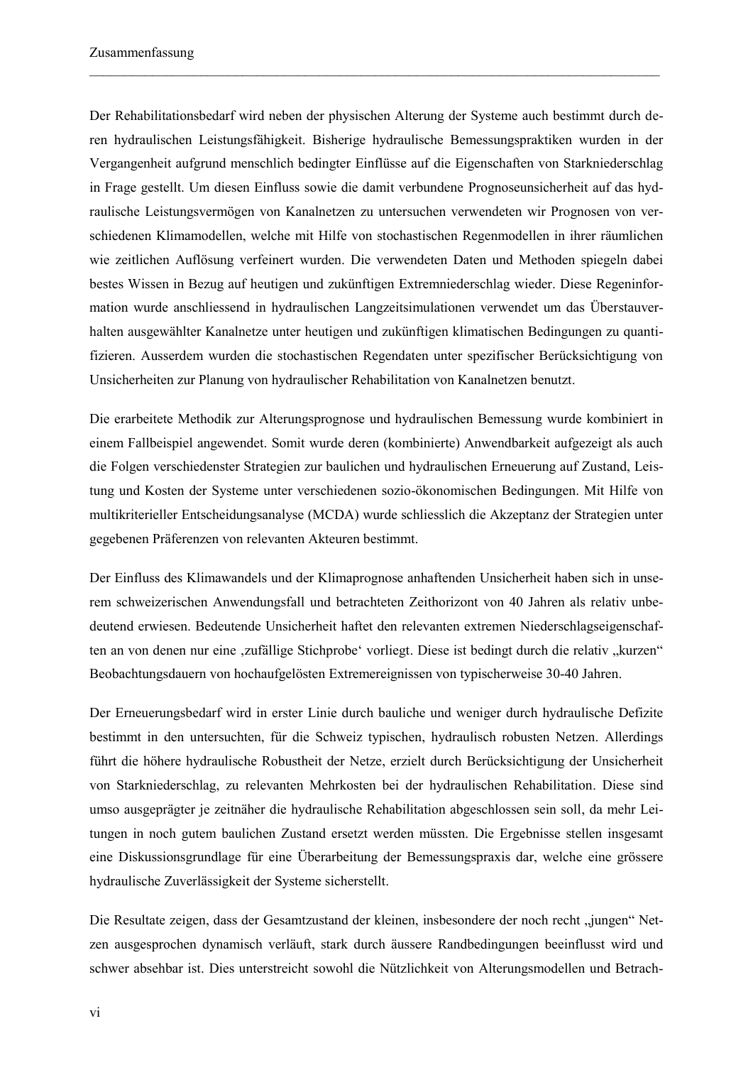Der Rehabilitationsbedarf wird neben der physischen Alterung der Systeme auch bestimmt durch deren hydraulischen Leistungsfähigkeit. Bisherige hydraulische Bemessungspraktiken wurden in der Vergangenheit aufgrund menschlich bedingter Einflüsse auf die Eigenschaften von Starkniederschlag in Frage gestellt. Um diesen Einfluss sowie die damit verbundene Prognoseunsicherheit auf das hydraulische Leistungsvermögen von Kanalnetzen zu untersuchen verwendeten wir Prognosen von verschiedenen Klimamodellen, welche mit Hilfe von stochastischen Regenmodellen in ihrer räumlichen wie zeitlichen Auflösung verfeinert wurden. Die verwendeten Daten und Methoden spiegeln dabei bestes Wissen in Bezug auf heutigen und zukünftigen Extremniederschlag wieder. Diese Regeninformation wurde anschliessend in hydraulischen Langzeitsimulationen verwendet um das Überstauverhalten ausgewählter Kanalnetze unter heutigen und zukünftigen klimatischen Bedingungen zu quantifizieren. Ausserdem wurden die stochastischen Regendaten unter spezifischer Berücksichtigung von Unsicherheiten zur Planung von hydraulischer Rehabilitation von Kanalnetzen benutzt.

 $\_$  , and the contribution of the contribution of the contribution of the contribution of  $\mathcal{L}_\text{max}$ 

Die erarbeitete Methodik zur Alterungsprognose und hydraulischen Bemessung wurde kombiniert in einem Fallbeispiel angewendet. Somit wurde deren (kombinierte) Anwendbarkeit aufgezeigt als auch die Folgen verschiedenster Strategien zur baulichen und hydraulischen Erneuerung auf Zustand, Leistung und Kosten der Systeme unter verschiedenen sozio-ökonomischen Bedingungen. Mit Hilfe von multikriterieller Entscheidungsanalyse (MCDA) wurde schliesslich die Akzeptanz der Strategien unter gegebenen Präferenzen von relevanten Akteuren bestimmt.

Der Einfluss des Klimawandels und der Klimaprognose anhaftenden Unsicherheit haben sich in unserem schweizerischen Anwendungsfall und betrachteten Zeithorizont von 40 Jahren als relativ unbedeutend erwiesen. Bedeutende Unsicherheit haftet den relevanten extremen Niederschlagseigenschaften an von denen nur eine ,zufällige Stichprobe' vorliegt. Diese ist bedingt durch die relativ "kurzen" Beobachtungsdauern von hochaufgelösten Extremereignissen von typischerweise 30-40 Jahren.

Der Erneuerungsbedarf wird in erster Linie durch bauliche und weniger durch hydraulische Defizite bestimmt in den untersuchten, für die Schweiz typischen, hydraulisch robusten Netzen. Allerdings führt die höhere hydraulische Robustheit der Netze, erzielt durch Berücksichtigung der Unsicherheit von Starkniederschlag, zu relevanten Mehrkosten bei der hydraulischen Rehabilitation. Diese sind umso ausgeprägter je zeitnäher die hydraulische Rehabilitation abgeschlossen sein soll, da mehr Leitungen in noch gutem baulichen Zustand ersetzt werden müssten. Die Ergebnisse stellen insgesamt eine Diskussionsgrundlage für eine Überarbeitung der Bemessungspraxis dar, welche eine grössere hydraulische Zuverlässigkeit der Systeme sicherstellt.

Die Resultate zeigen, dass der Gesamtzustand der kleinen, insbesondere der noch recht "jungen" Netzen ausgesprochen dynamisch verläuft, stark durch äussere Randbedingungen beeinflusst wird und schwer absehbar ist. Dies unterstreicht sowohl die Nützlichkeit von Alterungsmodellen und Betrach